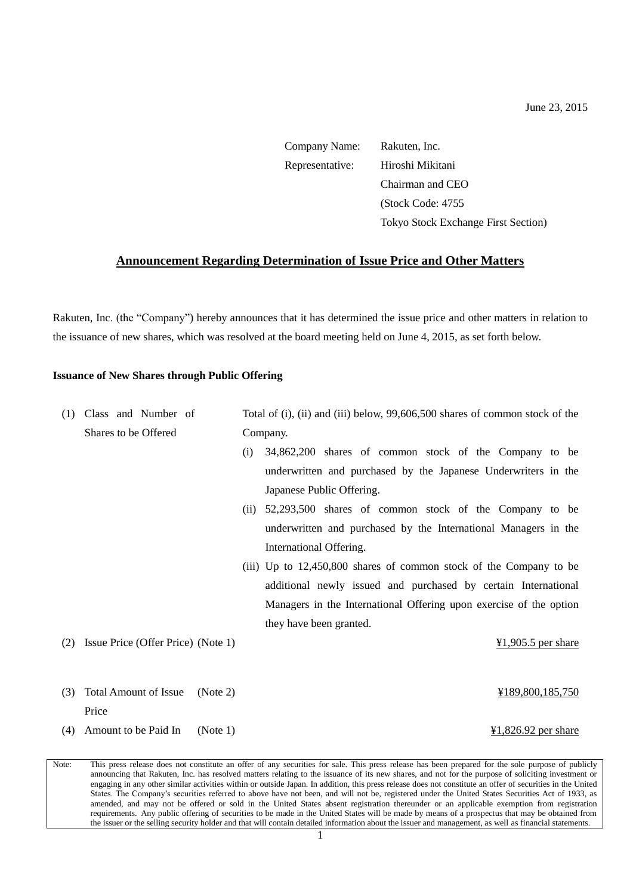| Company Name:   | Rakuten, Inc.                              |
|-----------------|--------------------------------------------|
| Representative: | Hiroshi Mikitani                           |
|                 | Chairman and CEO                           |
|                 | (Stock Code: 4755)                         |
|                 | <b>Tokyo Stock Exchange First Section)</b> |

# **Announcement Regarding Determination of Issue Price and Other Matters**

Rakuten, Inc. (the "Company") hereby announces that it has determined the issue price and other matters in relation to the issuance of new shares, which was resolved at the board meeting held on June 4, 2015, as set forth below.

## **Issuance of New Shares through Public Offering**

| (1) | Class and Number of                      |     | Total of (i), (ii) and (iii) below, 99,606,500 shares of common stock of the |  |
|-----|------------------------------------------|-----|------------------------------------------------------------------------------|--|
|     | Shares to be Offered                     |     | Company.                                                                     |  |
|     |                                          | (i) | 34,862,200 shares of common stock of the Company to be                       |  |
|     |                                          |     | underwritten and purchased by the Japanese Underwriters in the               |  |
|     |                                          |     | Japanese Public Offering.                                                    |  |
|     |                                          |     | (ii) 52,293,500 shares of common stock of the Company to be                  |  |
|     |                                          |     | underwritten and purchased by the International Managers in the              |  |
|     |                                          |     | International Offering.                                                      |  |
|     |                                          |     | (iii) Up to 12,450,800 shares of common stock of the Company to be           |  |
|     |                                          |     | additional newly issued and purchased by certain International               |  |
|     |                                          |     | Managers in the International Offering upon exercise of the option           |  |
|     |                                          |     | they have been granted.                                                      |  |
| (2) | Issue Price (Offer Price) (Note 1)       |     | $\frac{1}{2}1,905.5$ per share                                               |  |
|     |                                          |     |                                                                              |  |
|     |                                          |     |                                                                              |  |
| (3) | <b>Total Amount of Issue</b><br>(Note 2) |     | ¥189,800,185,750                                                             |  |
|     | Price                                    |     |                                                                              |  |
|     | (4) Amount to be Paid In<br>(Note 1)     |     | $\frac{1}{2}1,826.92$ per share                                              |  |

Note: This press release does not constitute an offer of any securities for sale. This press release has been prepared for the sole purpose of publicly announcing that Rakuten, Inc. has resolved matters relating to the issuance of its new shares, and not for the purpose of soliciting investment or engaging in any other similar activities within or outside Japan. In addition, this press release does not constitute an offer of securities in the United States. The Company's securities referred to above have not been, and will not be, registered under the United States Securities Act of 1933, as amended, and may not be offered or sold in the United States absent registration thereunder or an applicable exemption from registration requirements. Any public offering of securities to be made in the United States will be made by means of a prospectus that may be obtained from the issuer or the selling security holder and that will contain detailed information about the issuer and management, as well as financial statements.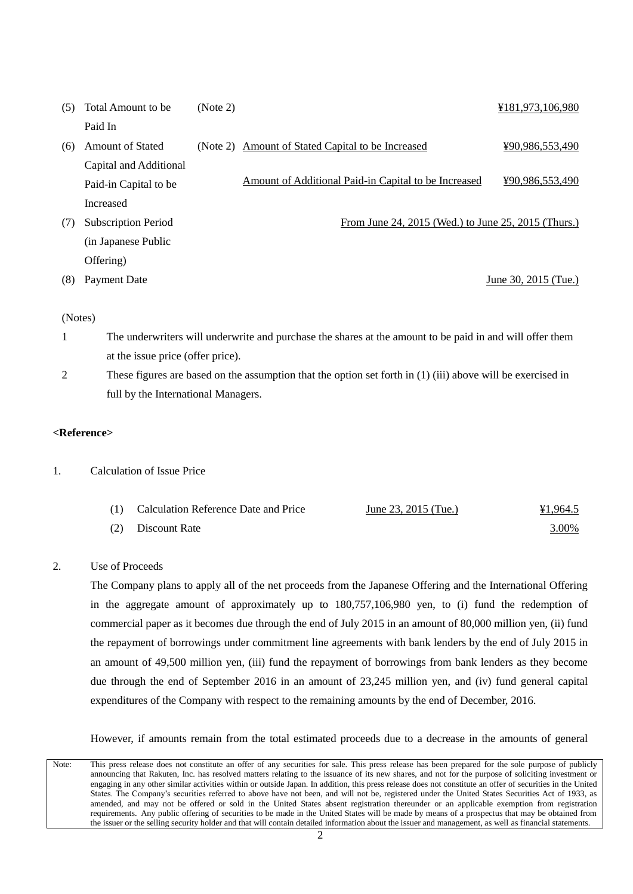| (5) | Total Amount to be.        | (Note 2) |                                                      | ¥181,973,106,980     |
|-----|----------------------------|----------|------------------------------------------------------|----------------------|
|     | Paid In                    |          |                                                      |                      |
| (6) | <b>Amount of Stated</b>    |          | (Note 2) Amount of Stated Capital to be Increased    | ¥90,986,553,490      |
|     | Capital and Additional     |          |                                                      |                      |
|     | Paid-in Capital to be      |          | Amount of Additional Paid-in Capital to be Increased | ¥90,986,553,490      |
|     | Increased                  |          |                                                      |                      |
| (7) | <b>Subscription Period</b> |          | From June 24, 2015 (Wed.) to June 25, 2015 (Thurs.)  |                      |
|     | (in Japanese Public)       |          |                                                      |                      |
|     | Offering)                  |          |                                                      |                      |
| (8) | Payment Date               |          |                                                      | June 30, 2015 (Tue.) |

#### (Notes)

- 1 The underwriters will underwrite and purchase the shares at the amount to be paid in and will offer them at the issue price (offer price).
- 2 These figures are based on the assumption that the option set forth in (1) (iii) above will be exercised in full by the International Managers.

## **<Reference>**

1. Calculation of Issue Price

| (1) Calculation Reference Date and Price | June 23, 2015 (Tue.) | ¥1,964.5 |
|------------------------------------------|----------------------|----------|
| (2) Discount Rate                        |                      | 3.00%    |

# 2. Use of Proceeds

The Company plans to apply all of the net proceeds from the Japanese Offering and the International Offering in the aggregate amount of approximately up to 180,757,106,980 yen, to (i) fund the redemption of commercial paper as it becomes due through the end of July 2015 in an amount of 80,000 million yen, (ii) fund the repayment of borrowings under commitment line agreements with bank lenders by the end of July 2015 in an amount of 49,500 million yen, (iii) fund the repayment of borrowings from bank lenders as they become due through the end of September 2016 in an amount of 23,245 million yen, and (iv) fund general capital expenditures of the Company with respect to the remaining amounts by the end of December, 2016.

However, if amounts remain from the total estimated proceeds due to a decrease in the amounts of general

Note: This press release does not constitute an offer of any securities for sale. This press release has been prepared for the sole purpose of publicly announcing that Rakuten, Inc. has resolved matters relating to the issuance of its new shares, and not for the purpose of soliciting investment or engaging in any other similar activities within or outside Japan. In addition, this press release does not constitute an offer of securities in the United States. The Company's securities referred to above have not been, and will not be, registered under the United States Securities Act of 1933, as amended, and may not be offered or sold in the United States absent registration thereunder or an applicable exemption from registration requirements. Any public offering of securities to be made in the United States will be made by means of a prospectus that may be obtained from the issuer or the selling security holder and that will contain detailed information about the issuer and management, as well as financial statements.